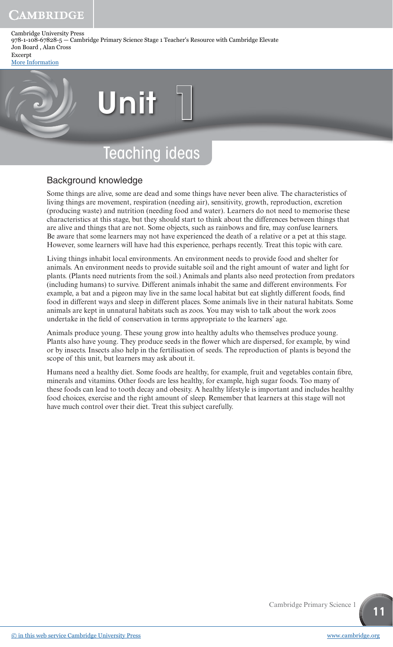Cambridge University Press 978-1-108-67828-5 — Cambridge Primary Science Stage 1 Teacher's Resource with Cambridge Elevate Jon Board , Alan Cross Excerpt

[More Information](www.cambridge.org/9781108678285)

# Unit

# Teaching ideas

# Background knowledge

Some things are alive, some are dead and some things have never been alive. The characteristics of living things are movement, respiration (needing air), sensitivity, growth, reproduction, excretion (producing waste) and nutrition (needing food and water). Learners do not need to memorise these characteristics at this stage, but they should start to think about the differences between things that are alive and things that are not. Some objects, such as rainbows and fire, may confuse learners. Be aware that some learners may not have experienced the death of a relative or a pet at this stage. However, some learners will have had this experience, perhaps recently. Treat this topic with care.

Living things inhabit local environments. An environment needs to provide food and shelter for animals. An environment needs to provide suitable soil and the right amount of water and light for plants. (Plants need nutrients from the soil.) Animals and plants also need protection from predators (including humans) to survive. Different animals inhabit the same and different environments. For example, a bat and a pigeon may live in the same local habitat but eat slightly different foods, find food in different ways and sleep in different places. Some animals live in their natural habitats. Some animals are kept in unnatural habitats such as zoos. You may wish to talk about the work zoos undertake in the field of conservation in terms appropriate to the learners' age.

Animals produce young. These young grow into healthy adults who themselves produce young. Plants also have young. They produce seeds in the flower which are dispersed, for example, by wind or by insects. Insects also help in the fertilisation of seeds. The reproduction of plants is beyond the scope of this unit, but learners may ask about it.

Humans need a healthy diet. Some foods are healthy, for example, fruit and vegetables contain fibre, minerals and vitamins. Other foods are less healthy, for example, high sugar foods. Too many of these foods can lead to tooth decay and obesity. A healthy lifestyle is important and includes healthy food choices, exercise and the right amount of sleep. Remember that learners at this stage will not have much control over their diet. Treat this subject carefully.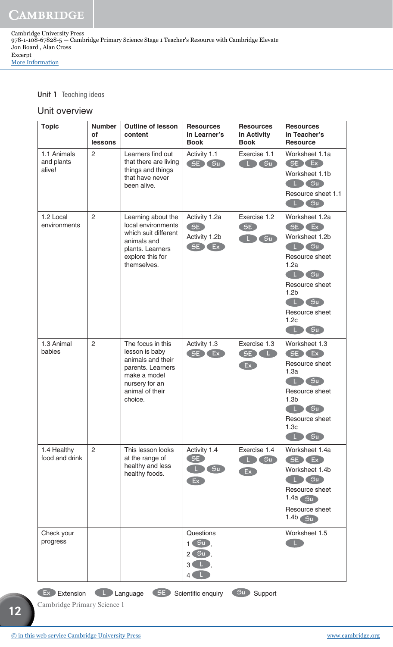Unit 1 Teaching ideas

#### Unit overview

| <b>Topic</b>                        | <b>Number</b><br>οf<br>lessons | <b>Outline of lesson</b><br>content                                                                                                           | <b>Resources</b><br>in Learner's<br><b>Book</b>                                       | <b>Resources</b><br>in Activity<br><b>Book</b> | <b>Resources</b><br>in Teacher's<br><b>Resource</b>                                                                                                                               |
|-------------------------------------|--------------------------------|-----------------------------------------------------------------------------------------------------------------------------------------------|---------------------------------------------------------------------------------------|------------------------------------------------|-----------------------------------------------------------------------------------------------------------------------------------------------------------------------------------|
| 1.1 Animals<br>and plants<br>alive! | $\overline{c}$                 | Learners find out<br>that there are living<br>things and things<br>that have never<br>been alive.                                             | Activity 1.1<br>SE Su                                                                 | Exercise 1.1<br>Su                             | Worksheet 1.1a<br>SE Ex<br>Worksheet 1.1b<br>L Su<br>Resource sheet 1.1<br>(Su)<br>L.                                                                                             |
| 1.2 Local<br>environments           | 2                              | Learning about the<br>local environments<br>which suit different<br>animals and<br>plants. Learners<br>explore this for<br>themselves.        | Activity 1.2a<br>SE<br>Activity 1.2b<br>SE)<br>EEx                                    | Exercise 1.2<br>SE<br>$S_{\mathsf{u}}$         | Worksheet 1.2a<br>(SE) Ex<br>Worksheet 1.2b<br>Su<br>Resource sheet<br>1.2a<br>L Su<br>Resource sheet<br>1.2 <sub>b</sub><br>S <sub>u</sub><br>T.<br>Resource sheet<br>1.2c<br>Su |
| 1.3 Animal<br>babies                | 2                              | The focus in this<br>lesson is baby<br>animals and their<br>parents. Learners<br>make a model<br>nursery for an<br>animal of their<br>choice. | Activity 1.3<br>SE)<br>Ex.                                                            | Exercise 1.3<br>SE<br>Ex                       | Worksheet 1.3<br>SE Ex<br>Resource sheet<br>1.3a<br>Su<br>Resource sheet<br>1.3 <sub>b</sub><br>S <sub>u</sub><br>Resource sheet<br>1.3 <sub>c</sub><br>Su                        |
| 1.4 Healthy<br>food and drink       | 2                              | This lesson looks<br>at the range of<br>healthy and less<br>healthy foods.                                                                    | Activity 1.4<br>SE<br>Su<br>Ex                                                        | Exercise 1.4<br>5u<br>E                        | Worksheet 1.4a<br>(SE) Ex<br>Worksheet 1.4b<br>$L$ $\sim$ Su<br>Resource sheet<br>$1.4a$ Su<br>Resource sheet<br>$1.4b$ $5u$                                                      |
| Check your<br>progress              |                                |                                                                                                                                               | Questions<br>$\left( 5u \right)$<br>1 <sup>1</sup><br>S <sub>u</sub><br>2(<br>3'<br>4 |                                                | Worksheet 1.5<br>$\mathbf{L}$                                                                                                                                                     |

**Ex** Extension **L** Language **SE** Scientific enquiry **Su** Support

**12 12**

Cambridge Primary Science 1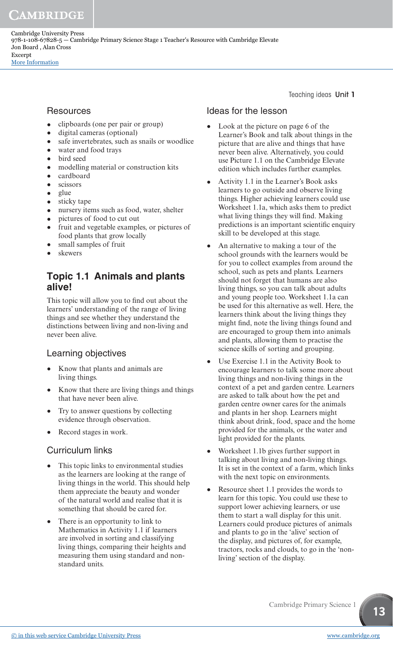# **Resources**

- clipboards (one per pair or group)<br>• digital cameras (optional)
- digital cameras (optional)<br>• safe invertebrates such as
- safe invertebrates, such as snails or woodlice<br>• water and food travs
- water and food trays<br>• bird seed
- bird seed
- modelling material or construction kits<br>• cardboard
- cardboard<br>• scissors
- scissors<br>• **olue**
- 
- glue<br>• stick • sticky tape
- nursery items such as food, water, shelter
- pictures of food to cut out
- fruit and vegetable examples, or pictures of food plants that grow locally
- small samples of fruit
- skewers

# **Topic 1.1 Animals and plants alive!**

This topic will allow you to find out about the learners' understanding of the range of living things and see whether they understand the distinctions between living and non-living and never been alive.

# Learning objectives

- Know that plants and animals are living things.
- Know that there are living things and things that have never been alive.
- Try to answer questions by collecting evidence through observation.
- Record stages in work.

# Curriculum links

- This topic links to environmental studies as the learners are looking at the range of living things in the world. This should help them appreciate the beauty and wonder of the natural world and realise that it is something that should be cared for.
- There is an opportunity to link to Mathematics in Activity 1.1 if learners are involved in sorting and classifying living things, comparing their heights and measuring them using standard and nonstandard units.

Teaching ideas Unit 1

# Ideas for the lesson

- Look at the picture on page 6 of the Learner's Book and talk about things in the picture that are alive and things that have never been alive. Alternatively, you could use Picture 1.1 on the Cambridge Elevate edition which includes further examples.
- Activity 1.1 in the Learner's Book asks learners to go outside and observe living things. Higher achieving learners could use Worksheet 1.1a, which asks them to predict what living things they will find. Making predictions is an important scientific enquiry skill to be developed at this stage.
- An alternative to making a tour of the school grounds with the learners would be for you to collect examples from around the school, such as pets and plants. Learners should not forget that humans are also living things, so you can talk about adults and young people too. Worksheet 1.1a can be used for this alternative as well. Here, the learners think about the living things they might find, note the living things found and are encouraged to group them into animals and plants, allowing them to practise the science skills of sorting and grouping.
- Use Exercise 1.1 in the Activity Book to encourage learners to talk some more about living things and non-living things in the context of a pet and garden centre. Learners are asked to talk about how the pet and garden centre owner cares for the animals and plants in her shop. Learners might think about drink, food, space and the home provided for the animals, or the water and light provided for the plants.
- Worksheet 1.1b gives further support in talking about living and non-living things. It is set in the context of a farm, which links with the next topic on environments.
- Resource sheet 1.1 provides the words to learn for this topic. You could use these to support lower achieving learners, or use them to start a wall display for this unit. Learners could produce pictures of animals and plants to go in the 'alive' section of the display, and pictures of, for example, tractors, rocks and clouds, to go in the 'nonliving' section of the display.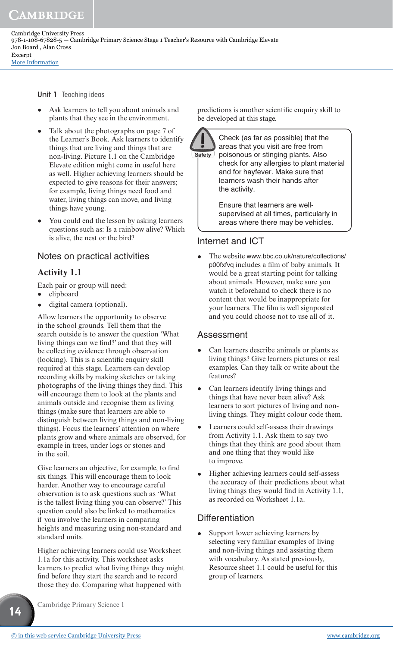Cambridge University Press 978-1-108-67828-5 — Cambridge Primary Science Stage 1 Teacher's Resource with Cambridge Elevate Jon Board , Alan Cross Excerpt [More Information](www.cambridge.org/9781108678285)

Unit 1 Teaching ideas

- Ask learners to tell you about animals and plants that they see in the environment.
- Talk about the photographs on page 7 of the Learner's Book. Ask learners to identify things that are living and things that are non-living. Picture 1.1 on the Cambridge Elevate edition might come in useful here as well. Higher achieving learners should be expected to give reasons for their answers; for example, living things need food and water, living things can move, and living things have young.
- You could end the lesson by asking learners questions such as: Is a rainbow alive? Which is alive, the nest or the bird?

#### Notes on practical activities

#### **Activity 1.1**

Each pair or group will need:

- clipboard
- digital camera (optional).

Allow learners the opportunity to observe in the school grounds. Tell them that the search outside is to answer the question 'What living things can we find?' and that they will be collecting evidence through observation (looking). This is a scientific enquiry skill required at this stage. Learners can develop recording skills by making sketches or taking photographs of the living things they find. This will encourage them to look at the plants and animals outside and recognise them as living things (make sure that learners are able to distinguish between living things and non-living things). Focus the learners' attention on where plants grow and where animals are observed, for example in trees, under logs or stones and in the soil.

Give learners an objective, for example, to find six things. This will encourage them to look harder. Another way to encourage careful observation is to ask questions such as 'What is the tallest living thing you can observe?' This question could also be linked to mathematics if you involve the learners in comparing heights and measuring using non-standard and standard units.

Higher achieving learners could use Worksheet 1.1a for this activity. This worksheet asks learners to predict what living things they might find before they start the search and to record those they do. Comparing what happened with

Cambridge Primary Science 1

predictions is another scientific enquiry skill to be developed at this stage.



Check (as far as possible) that the areas that you visit are free from poisonous or stinging plants. Also check for any allergies to plant material and for hayfever. Make sure that learners wash their hands after the activity.

Ensure that learners are wellsupervised at all times, particularly in areas where there may be vehicles.

#### Internet and ICT

• The website www.bbc.co.uk/nature/collections/ p00fxfvq includes a film of baby animals. It would be a great starting point for talking about animals. However, make sure you watch it beforehand to check there is no content that would be inappropriate for your learners. The film is well signposted and you could choose not to use all of it.

#### Assessment

- Can learners describe animals or plants as living things? Give learners pictures or real examples. Can they talk or write about the features?
- Can learners identify living things and things that have never been alive? Ask learners to sort pictures of living and nonliving things. They might colour code them.
- Learners could self-assess their drawings from Activity 1.1. Ask them to say two things that they think are good about them and one thing that they would like to improve.
- Higher achieving learners could self-assess the accuracy of their predictions about what living things they would find in Activity 1.1, as recorded on Worksheet 1.1a.

#### **Differentiation**

Support lower achieving learners by selecting very familiar examples of living and non-living things and assisting them with vocabulary. As stated previously, Resource sheet 1.1 could be useful for this group of learners.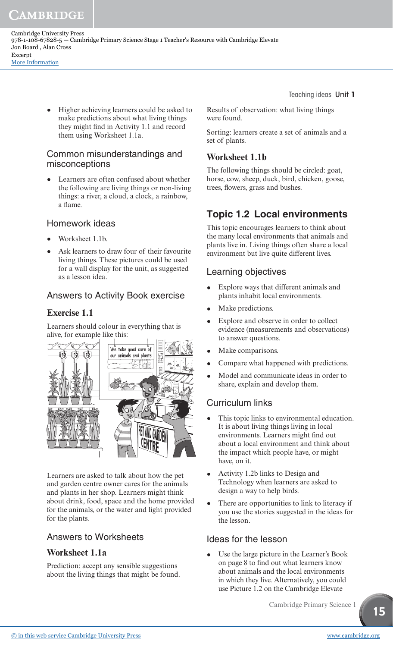Cambridge University Press 978-1-108-67828-5 — Cambridge Primary Science Stage 1 Teacher's Resource with Cambridge Elevate Jon Board , Alan Cross Excerpt [More Information](www.cambridge.org/9781108678285)

> • Higher achieving learners could be asked to make predictions about what living things they might find in Activity 1.1 and record them using Worksheet 1.1a.

#### Common misunderstandings and misconceptions

Learners are often confused about whether the following are living things or non-living things: a river, a cloud, a clock, a rainbow, a flame.

#### Homework ideas

- Worksheet 1.1b.
- Ask learners to draw four of their favourite living things. These pictures could be used for a wall display for the unit, as suggested as a lesson idea.

### Answers to Activity Book exercise

#### **Exercise 1.1**

Learners should colour in everything that is alive, for example like this:



Learners are asked to talk about how the pet and garden centre owner cares for the animals and plants in her shop. Learners might think about drink, food, space and the home provided for the animals, or the water and light provided for the plants.

#### Answers to Worksheets

#### **Worksheet 1.1a**

Prediction: accept any sensible suggestions about the living things that might be found. Teaching ideas Unit 1

Results of observation: what living things were found.

Sorting: learners create a set of animals and a set of plants.

#### **Worksheet 1.1b**

The following things should be circled: goat, horse, cow, sheep, duck, bird, chicken, goose, trees, flowers, grass and bushes.

# **Topic 1.2 Local environments**

This topic encourages learners to think about the many local environments that animals and plants live in. Living things often share a local environment but live quite different lives.

#### Learning objectives

- Explore ways that different animals and plants inhabit local environments.
- Make predictions.
- Explore and observe in order to collect evidence (measurements and observations) to answer questions.
- Make comparisons.
- Compare what happened with predictions.
- Model and communicate ideas in order to share, explain and develop them.

#### Curriculum links

- This topic links to environmental education. It is about living things living in local environments. Learners might find out about a local environment and think about the impact which people have, or might have, on it.
- Activity 1.2b links to Design and Technology when learners are asked to design a way to help birds.
- There are opportunities to link to literacy if you use the stories suggested in the ideas for the lesson.

#### Ideas for the lesson

Use the large picture in the Learner's Book on page 8 to find out what learners know about animals and the local environments in which they live. Alternatively, you could use Picture 1.2 on the Cambridge Elevate

Cambridge Primary Science 1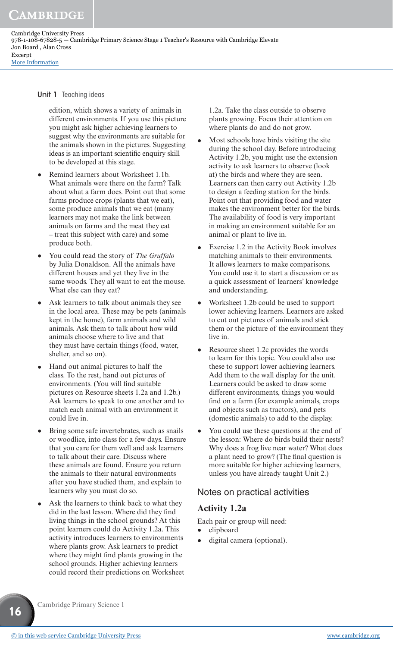Cambridge University Press 978-1-108-67828-5 — Cambridge Primary Science Stage 1 Teacher's Resource with Cambridge Elevate Jon Board , Alan Cross Excerpt [More Information](www.cambridge.org/9781108678285)

Unit 1 Teaching ideas

edition, which shows a variety of animals in different environments. If you use this picture you might ask higher achieving learners to suggest why the environments are suitable for the animals shown in the pictures. Suggesting ideas is an important scientific enquiry skill to be developed at this stage.

- Remind learners about Worksheet 1.1b. What animals were there on the farm? Talk about what a farm does. Point out that some farms produce crops (plants that we eat), some produce animals that we eat (many learners may not make the link between animals on farms and the meat they eat – treat this subject with care) and some produce both.
- You could read the story of *The Gruffalo*  by Julia Donaldson. All the animals have different houses and yet they live in the same woods. They all want to eat the mouse. What else can they eat?
- Ask learners to talk about animals they see in the local area. These may be pets (animals kept in the home), farm animals and wild animals. Ask them to talk about how wild animals choose where to live and that they must have certain things (food, water, shelter, and so on).
- Hand out animal pictures to half the class. To the rest, hand out pictures of environments. (You will find suitable pictures on Resource sheets 1.2a and 1.2b.) Ask learners to speak to one another and to match each animal with an environment it could live in.
- Bring some safe invertebrates, such as snails or woodlice, into class for a few days. Ensure that you care for them well and ask learners to talk about their care. Discuss where these animals are found. Ensure you return the animals to their natural environments after you have studied them, and explain to learners why you must do so.
- Ask the learners to think back to what they did in the last lesson. Where did they find living things in the school grounds? At this point learners could do Activity 1.2a. This activity introduces learners to environments where plants grow. Ask learners to predict where they might find plants growing in the school grounds. Higher achieving learners could record their predictions on Worksheet

1.2a. Take the class outside to observe plants growing. Focus their attention on where plants do and do not grow.

- Most schools have birds visiting the site during the school day. Before introducing Activity 1.2b, you might use the extension activity to ask learners to observe (look at) the birds and where they are seen. Learners can then carry out Activity 1.2b to design a feeding station for the birds. Point out that providing food and water makes the environment better for the birds. The availability of food is very important in making an environment suitable for an animal or plant to live in.
- Exercise 1.2 in the Activity Book involves matching animals to their environments. It allows learners to make comparisons. You could use it to start a discussion or as a quick assessment of learners' knowledge and understanding.
- Worksheet 1.2b could be used to support lower achieving learners. Learners are asked to cut out pictures of animals and stick them or the picture of the environment they live in.
- Resource sheet 1.2c provides the words to learn for this topic. You could also use these to support lower achieving learners. Add them to the wall display for the unit. Learners could be asked to draw some different environments, things you would find on a farm (for example animals, crops and objects such as tractors), and pets (domestic animals) to add to the display.
- You could use these questions at the end of the lesson: Where do birds build their nests? Why does a frog live near water? What does a plant need to grow? (The final question is more suitable for higher achieving learners, unless you have already taught Unit 2.)

#### Notes on practical activities

#### **Activity 1.2a**

Each pair or group will need:

- clipboard
- digital camera (optional).

Cambridge Primary Science 1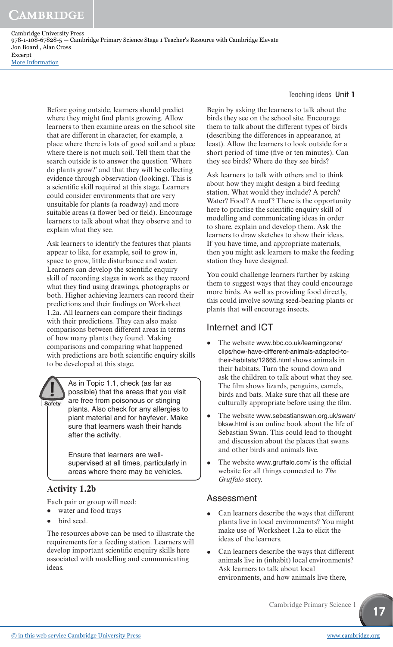Cambridge University Press 978-1-108-67828-5 — Cambridge Primary Science Stage 1 Teacher's Resource with Cambridge Elevate Jon Board , Alan Cross Excerpt [More Information](www.cambridge.org/9781108678285)

> Before going outside, learners should predict where they might find plants growing. Allow learners to then examine areas on the school site that are different in character, for example, a place where there is lots of good soil and a place where there is not much soil. Tell them that the search outside is to answer the question 'Where do plants grow?' and that they will be collecting evidence through observation (looking). This is a scientific skill required at this stage. Learners could consider environments that are very unsuitable for plants (a roadway) and more suitable areas (a flower bed or field). Encourage learners to talk about what they observe and to explain what they see.

> Ask learners to identify the features that plants appear to like, for example, soil to grow in, space to grow, little disturbance and water. Learners can develop the scientific enquiry skill of recording stages in work as they record what they find using drawings, photographs or both. Higher achieving learners can record their predictions and their findings on Worksheet 1.2a. All learners can compare their findings with their predictions. They can also make comparisons between different areas in terms of how many plants they found. Making comparisons and comparing what happened with predictions are both scientific enquiry skills to be developed at this stage.



As in Topic 1.1, check (as far as possible) that the areas that you visit are free from poisonous or stinging plants. Also check for any allergies to plant material and for hayfever. Make sure that learners wash their hands after the activity.

Ensure that learners are wellsupervised at all times, particularly in areas where there may be vehicles.

# **Activity 1.2b**

Each pair or group will need:

- water and food trays
- bird seed.

The resources above can be used to illustrate the requirements for a feeding station. Learners will develop important scientific enquiry skills here associated with modelling and communicating ideas.

Teaching ideas Unit 1

Begin by asking the learners to talk about the birds they see on the school site. Encourage them to talk about the different types of birds (describing the differences in appearance, at least). Allow the learners to look outside for a short period of time (five or ten minutes). Can they see birds? Where do they see birds?

Ask learners to talk with others and to think about how they might design a bird feeding station. What would they include? A perch? Water? Food? A roof? There is the opportunity here to practise the scientific enquiry skill of modelling and communicating ideas in order to share, explain and develop them. Ask the learners to draw sketches to show their ideas. If you have time, and appropriate materials, then you might ask learners to make the feeding station they have designed.

You could challenge learners further by asking them to suggest ways that they could encourage more birds. As well as providing food directly, this could involve sowing seed-bearing plants or plants that will encourage insects.

# Internet and ICT

- The website www.bbc.co.uk/learningzone/ clips/how-have-different-animals-adapted-totheir-habitats/12665.html shows animals in their habitats. Turn the sound down and ask the children to talk about what they see. The film shows lizards, penguins, camels, birds and bats. Make sure that all these are culturally appropriate before using the film.
- The website www.sebastianswan.org.uk/swan/ bksw.html is an online book about the life of Sebastian Swan. This could lead to thought and discussion about the places that swans and other birds and animals live.
- The website www.gruffalo.com/ is the official website for all things connected to *The Gruffalo* story.

#### Assessment

- Can learners describe the ways that different plants live in local environments? You might make use of Worksheet 1.2a to elicit the ideas of the learners.
- Can learners describe the ways that different animals live in (inhabit) local environments? Ask learners to talk about local environments, and how animals live there,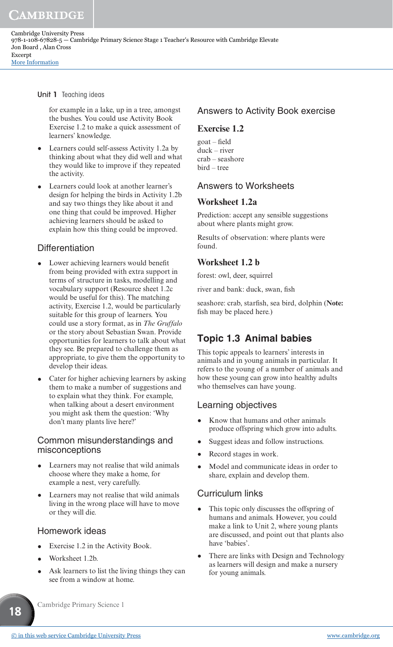#### Unit 1 Teaching ideas

for example in a lake, up in a tree, amongst the bushes. You could use Activity Book Exercise 1.2 to make a quick assessment of learners' knowledge.

- Learners could self-assess Activity 1.2a by thinking about what they did well and what they would like to improve if they repeated the activity.
- Learners could look at another learner's design for helping the birds in Activity 1.2b and say two things they like about it and one thing that could be improved. Higher achieving learners should be asked to explain how this thing could be improved.

#### **Differentiation**

- Lower achieving learners would benefit from being provided with extra support in terms of structure in tasks, modelling and vocabulary support (Resource sheet 1.2c would be useful for this). The matching activity, Exercise 1.2, would be particularly suitable for this group of learners. You could use a story format, as in *The Gruffalo* or the story about Sebastian Swan. Provide opportunities for learners to talk about what they see. Be prepared to challenge them as appropriate, to give them the opportunity to develop their ideas.
- Cater for higher achieving learners by asking them to make a number of suggestions and to explain what they think. For example, when talking about a desert environment you might ask them the question: 'Why don't many plants live here?'

#### Common misunderstandings and misconceptions

- Learners may not realise that wild animals choose where they make a home, for example a nest, very carefully.
- Learners may not realise that wild animals living in the wrong place will have to move or they will die.

#### Homework ideas

- Exercise 1.2 in the Activity Book.
- Worksheet 1.2b.

**18**

Ask learners to list the living things they can see from a window at home.

#### Answers to Activity Book exercise

#### **Exercise 1.2**

goat – field duck – river crab – seashore bird – tree

#### Answers to Worksheets

#### **Worksheet 1.2a**

Prediction: accept any sensible suggestions about where plants might grow.

Results of observation: where plants were found.

#### **Worksheet 1.2 b**

forest: owl, deer, squirrel

river and bank: duck, swan, fish

seashore: crab, starfish, sea bird, dolphin (**Note:** fish may be placed here.)

#### **Topic 1.3 Animal babies**

This topic appeals to learners' interests in animals and in young animals in particular. It refers to the young of a number of animals and how these young can grow into healthy adults who themselves can have young.

#### Learning objectives

- Know that humans and other animals produce offspring which grow into adults.
- Suggest ideas and follow instructions.
- Record stages in work.
- Model and communicate ideas in order to share, explain and develop them.

#### Curriculum links

- This topic only discusses the offspring of humans and animals. However, you could make a link to Unit 2, where young plants are discussed, and point out that plants also have 'babies'.
- There are links with Design and Technology as learners will design and make a nursery for young animals.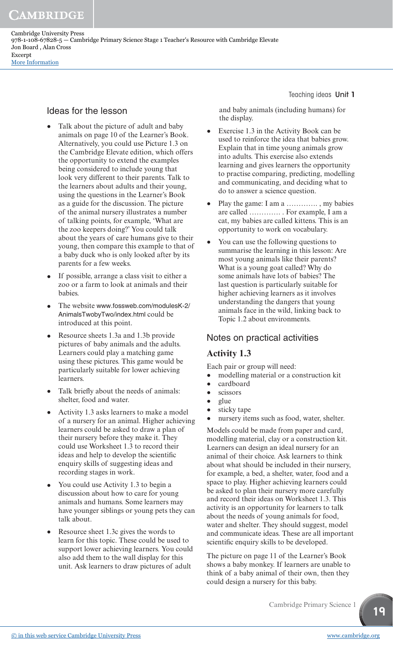Cambridge University Press 978-1-108-67828-5 — Cambridge Primary Science Stage 1 Teacher's Resource with Cambridge Elevate Jon Board , Alan Cross Excerpt [More Information](www.cambridge.org/9781108678285)

#### Ideas for the lesson

- Talk about the picture of adult and baby animals on page 10 of the Learner's Book. Alternatively, you could use Picture 1.3 on the Cambridge Elevate edition, which offers the opportunity to extend the examples being considered to include young that look very different to their parents. Talk to the learners about adults and their young, using the questions in the Learner's Book as a guide for the discussion. The picture of the animal nursery illustrates a number of talking points, for example, 'What are the zoo keepers doing?' You could talk about the years of care humans give to their young, then compare this example to that of a baby duck who is only looked after by its parents for a few weeks.
- If possible, arrange a class visit to either a zoo or a farm to look at animals and their babies.
- The website www.fossweb.com/modulesK-2/ AnimalsTwobyTwo/index.html could be introduced at this point.
- Resource sheets 1.3a and 1.3b provide pictures of baby animals and the adults. Learners could play a matching game using these pictures. This game would be particularly suitable for lower achieving learners.
- Talk briefly about the needs of animals: shelter, food and water.
- Activity 1.3 asks learners to make a model of a nursery for an animal. Higher achieving learners could be asked to draw a plan of their nursery before they make it. They could use Worksheet 1.3 to record their ideas and help to develop the scientific enquiry skills of suggesting ideas and recording stages in work.
- You could use Activity 1.3 to begin a discussion about how to care for young animals and humans. Some learners may have younger siblings or young pets they can talk about.
- Resource sheet 1.3c gives the words to learn for this topic. These could be used to support lower achieving learners. You could also add them to the wall display for this unit. Ask learners to draw pictures of adult

Teaching ideas Unit 1

 and baby animals (including humans) for the display.

- Exercise 1.3 in the Activity Book can be used to reinforce the idea that babies grow. Explain that in time young animals grow into adults. This exercise also extends learning and gives learners the opportunity to practise comparing, predicting, modelling and communicating, and deciding what to do to answer a science question.
- Play the game: I am a ………….. , my babies are called …………. . For example, I am a cat, my babies are called kittens. This is an opportunity to work on vocabulary.
- You can use the following questions to summarise the learning in this lesson: Are most young animals like their parents? What is a young goat called? Why do some animals have lots of babies? The last question is particularly suitable for higher achieving learners as it involves understanding the dangers that young animals face in the wild, linking back to Topic 1.2 about environments.

#### Notes on practical activities

#### **Activity 1.3**

Each pair or group will need:

- modelling material or a construction kit
- cardboard<br>• scissors
- scissors<br>• glue
- glue
- sticky tape
- nursery items such as food, water, shelter.

Models could be made from paper and card, modelling material, clay or a construction kit. Learners can design an ideal nursery for an animal of their choice. Ask learners to think about what should be included in their nursery, for example, a bed, a shelter, water, food and a space to play. Higher achieving learners could be asked to plan their nursery more carefully and record their ideas on Worksheet 1.3. This activity is an opportunity for learners to talk about the needs of young animals for food, water and shelter. They should suggest, model and communicate ideas. These are all important scientific enquiry skills to be developed.

The picture on page 11 of the Learner's Book shows a baby monkey. If learners are unable to think of a baby animal of their own, then they could design a nursery for this baby.

Cambridge Primary Science 1